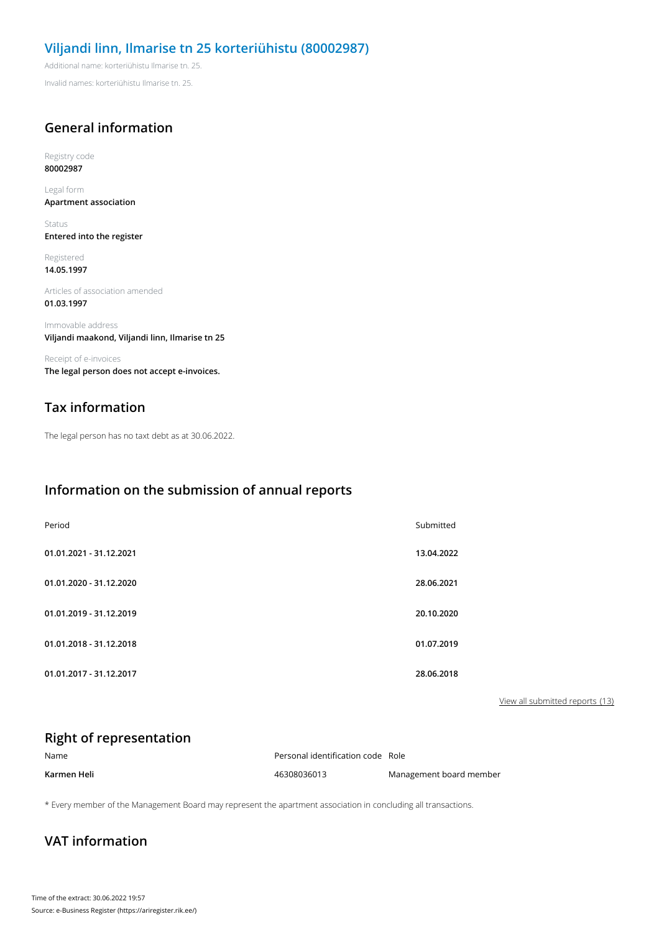#### **Viljandi linn, Ilmarise tn 25 korteriühistu (80002987)**

Additional name: korteriühistu Ilmarise tn. 25.

Invalid names: korteriühistu Ilmarise tn. 25.

## **General information**

Registry code **80002987**

Legal form **Apartment association**

Status **Entered into the register**

Registered **14.05.1997**

Articles of association amended **01.03.1997**

Immovable address **Viljandi maakond, Viljandi linn, Ilmarise tn 25**

Receipt of e-invoices **The legal person does not accept e-invoices.**

## **Tax information**

The legal person has no taxt debt as at 30.06.2022.

#### **Information on the submission of annual reports**

| Period                  | Submitted  |
|-------------------------|------------|
| 01.01.2021 - 31.12.2021 | 13.04.2022 |
| 01.01.2020 - 31.12.2020 | 28.06.2021 |
| 01.01.2019 - 31.12.2019 | 20.10.2020 |
| 01.01.2018 - 31.12.2018 | 01.07.2019 |
| 01.01.2017 - 31.12.2017 | 28.06.2018 |

View all submitted reports (13)

#### **Right of representation**

| Name        | Personal identification code Role |                         |
|-------------|-----------------------------------|-------------------------|
| Karmen Heli | 46308036013                       | Management board member |

\* Every member of the Management Board may represent the apartment association in concluding all transactions.

### **VAT information**